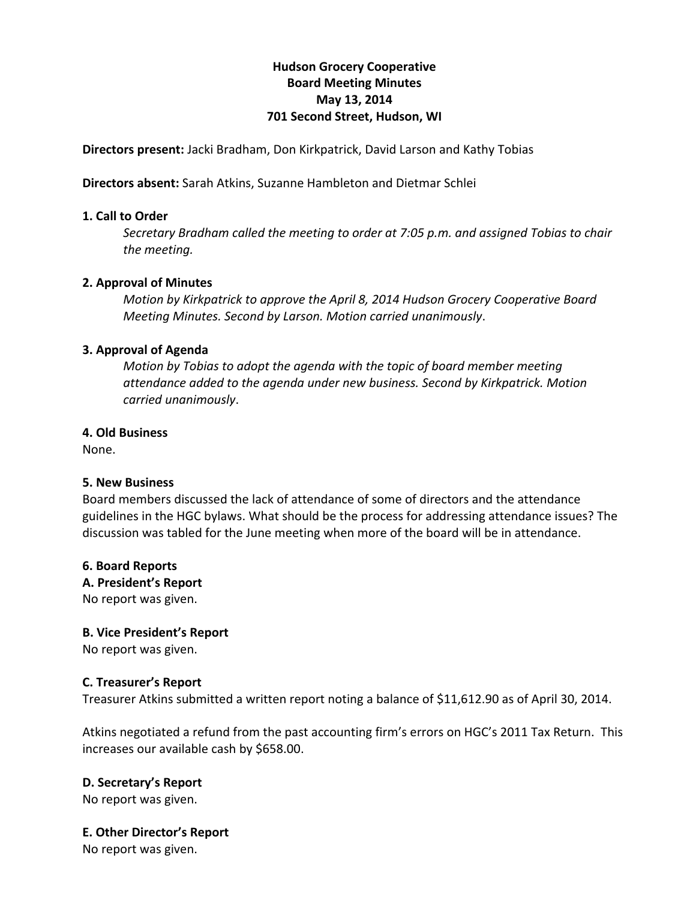# **Hudson'Grocery'Cooperative Board'Meeting'Minutes** May 13, 2014 **701 Second Street, Hudson, WI**

**Directors present:** Jacki Bradham, Don Kirkpatrick, David Larson and Kathy Tobias

**Directors absent:** Sarah Atkins, Suzanne Hambleton and Dietmar Schlei

### **1.'Call'to Order**

*Secretary Bradham called the meeting to order at 7:05 p.m. and assigned Tobias to chair* the meeting.

### **2. Approval of Minutes**

*Motion by Kirkpatrick to approve the April 8, 2014 Hudson Grocery Cooperative Board Meeting Minutes. Second by Larson. Motion carried unanimously.* 

### **3. Approval of Agenda**

*Motion by Tobias to adopt the agenda with the topic of board member meeting attendance(added(to(the(agenda(under(new(business.(Second(by(Kirkpatrick.(Motion(* carried unanimously.

### **4. Old'Business**

None.

#### **5.'New'Business'**

Board members discussed the lack of attendance of some of directors and the attendance guidelines in the HGC bylaws. What should be the process for addressing attendance issues? The discussion was tabled for the June meeting when more of the board will be in attendance.

#### **6.'Board'Reports**

#### A. President's Report

No report was given.

# **B.'Vice'President's Report**

No report was given.

#### **C.'Treasurer's'Report**

Treasurer Atkins submitted a written report noting a balance of \$11,612.90 as of April 30, 2014.

Atkins negotiated a refund from the past accounting firm's errors on HGC's 2011 Tax Return. This increases our available cash by \$658.00.

# **D. Secretary's Report**

No report was given.

**E. Other Director's Report** 

No report was given.